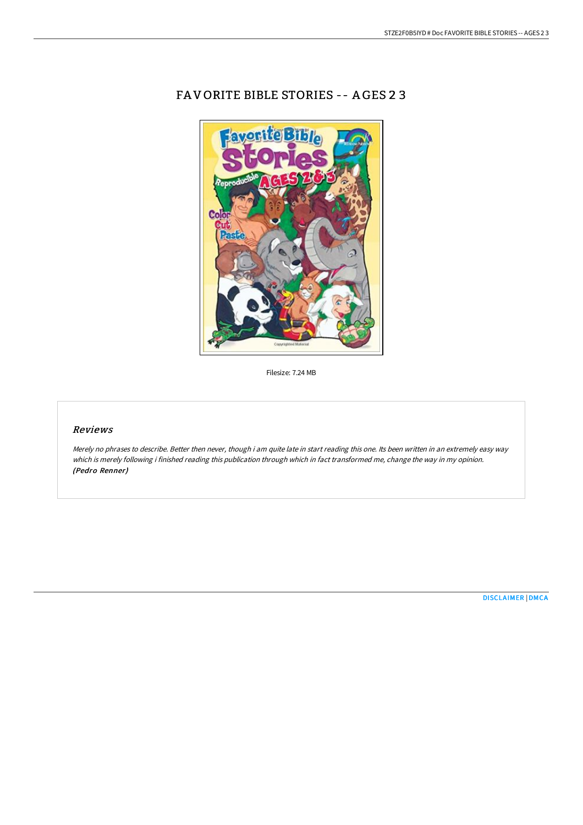

FA V ORITE BIBLE STORIES -- A GES 2 3

Filesize: 7.24 MB

## Reviews

Merely no phrases to describe. Better then never, though i am quite late in start reading this one. Its been written in an extremely easy way which is merely following i finished reading this publication through which in fact transformed me, change the way in my opinion. (Pedro Renner)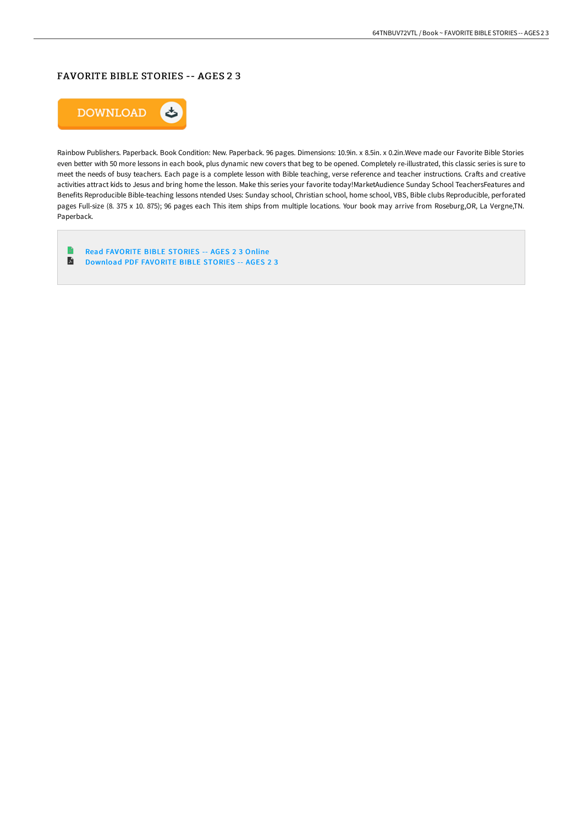# FAVORITE BIBLE STORIES -- AGES 2 3



Rainbow Publishers. Paperback. Book Condition: New. Paperback. 96 pages. Dimensions: 10.9in. x 8.5in. x 0.2in.Weve made our Favorite Bible Stories even better with 50 more lessons in each book, plus dynamic new covers that beg to be opened. Completely re-illustrated, this classic series is sure to meet the needs of busy teachers. Each page is a complete lesson with Bible teaching, verse reference and teacher instructions. Crafts and creative activities attract kids to Jesus and bring home the lesson. Make this series your favorite today!MarketAudience Sunday School TeachersFeatures and Benefits Reproducible Bible-teaching lessons ntended Uses: Sunday school, Christian school, home school, VBS, Bible clubs Reproducible, perforated pages Full-size (8. 375 x 10. 875); 96 pages each This item ships from multiple locations. Your book may arrive from Roseburg,OR, La Vergne,TN. Paperback.

 $\begin{array}{c} \hline \end{array}$ Read [FAVORITE](http://techno-pub.tech/favorite-bible-stories-ages-2-3.html) BIBLE STORIES -- AGES 2 3 Online E [Download](http://techno-pub.tech/favorite-bible-stories-ages-2-3.html) PDF FAVORITE BIBLE STORIES -- AGES 2 3